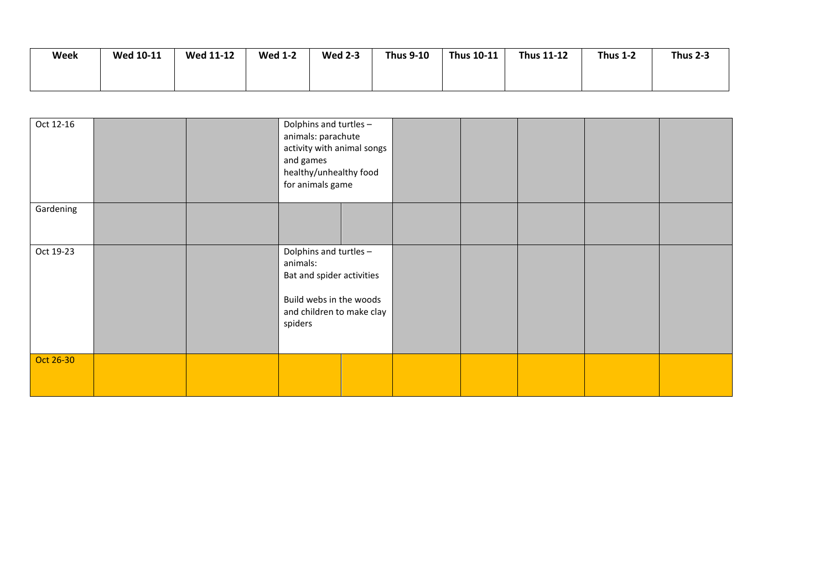| Week | <b>Wed 10-11</b> | <b>Wed 11-12</b> | <b>Wed 1-2</b> | <b>Wed 2-3</b> | <b>Thus 9-10</b> | <b>Thus 10-11</b> | <b>Thus 11-12</b> | <b>Thus 1-2</b> | <b>Thus 2-3</b> |
|------|------------------|------------------|----------------|----------------|------------------|-------------------|-------------------|-----------------|-----------------|
|      |                  |                  |                |                |                  |                   |                   |                 |                 |
|      |                  |                  |                |                |                  |                   |                   |                 |                 |

| Oct 12-16 |  | Dolphins and turtles -<br>animals: parachute<br>activity with animal songs<br>and games<br>healthy/unhealthy food<br>for animals game |  |  |  |  |
|-----------|--|---------------------------------------------------------------------------------------------------------------------------------------|--|--|--|--|
| Gardening |  |                                                                                                                                       |  |  |  |  |
| Oct 19-23 |  | Dolphins and turtles -<br>animals:<br>Bat and spider activities<br>Build webs in the woods<br>and children to make clay<br>spiders    |  |  |  |  |
| Oct 26-30 |  |                                                                                                                                       |  |  |  |  |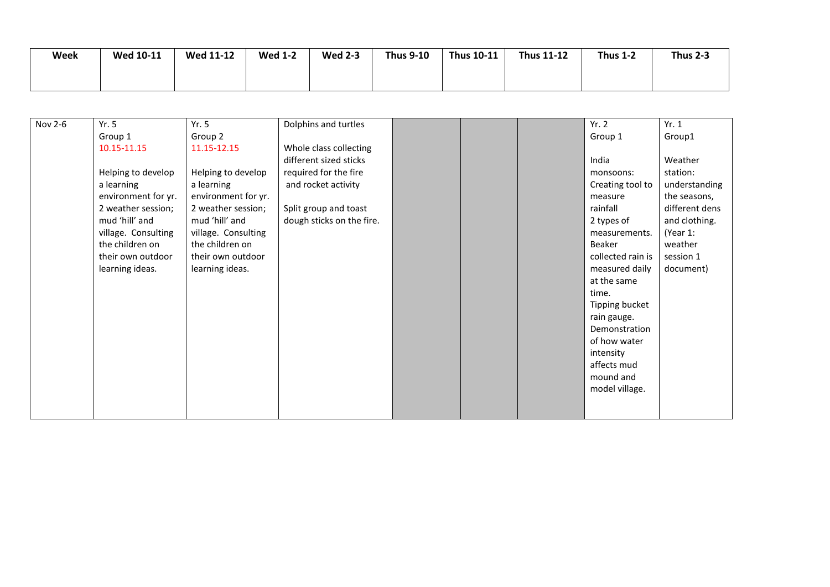| Week | <b>Wed 10-11</b> | <b>Wed 11-12</b> | <b>Wed 1-2</b> | <b>Wed 2-3</b> | <b>Thus 9-10</b> | Thus 10-11 | <b>Thus 11-12</b> | <b>Thus 1-2</b> | <b>Thus 2-3</b> |
|------|------------------|------------------|----------------|----------------|------------------|------------|-------------------|-----------------|-----------------|
|      |                  |                  |                |                |                  |            |                   |                 |                 |

| Nov 2-6 | Yr.5                | Yr. 5               | Dolphins and turtles      |  | Yr.2              | Yr. 1          |
|---------|---------------------|---------------------|---------------------------|--|-------------------|----------------|
|         | Group 1             | Group 2             |                           |  | Group 1           | Group1         |
|         | 10.15-11.15         | 11.15-12.15         | Whole class collecting    |  |                   |                |
|         |                     |                     | different sized sticks    |  | India             | Weather        |
|         | Helping to develop  | Helping to develop  | required for the fire     |  | monsoons:         | station:       |
|         | a learning          | a learning          | and rocket activity       |  | Creating tool to  | understanding  |
|         | environment for yr. | environment for yr. |                           |  | measure           | the seasons,   |
|         | 2 weather session;  | 2 weather session;  | Split group and toast     |  | rainfall          | different dens |
|         | mud 'hill' and      | mud 'hill' and      | dough sticks on the fire. |  | 2 types of        | and clothing.  |
|         | village. Consulting | village. Consulting |                           |  | measurements.     | (Year 1:       |
|         | the children on     | the children on     |                           |  | Beaker            | weather        |
|         | their own outdoor   | their own outdoor   |                           |  | collected rain is | session 1      |
|         | learning ideas.     | learning ideas.     |                           |  | measured daily    | document)      |
|         |                     |                     |                           |  | at the same       |                |
|         |                     |                     |                           |  | time.             |                |
|         |                     |                     |                           |  | Tipping bucket    |                |
|         |                     |                     |                           |  | rain gauge.       |                |
|         |                     |                     |                           |  | Demonstration     |                |
|         |                     |                     |                           |  | of how water      |                |
|         |                     |                     |                           |  | intensity         |                |
|         |                     |                     |                           |  | affects mud       |                |
|         |                     |                     |                           |  | mound and         |                |
|         |                     |                     |                           |  | model village.    |                |
|         |                     |                     |                           |  |                   |                |
|         |                     |                     |                           |  |                   |                |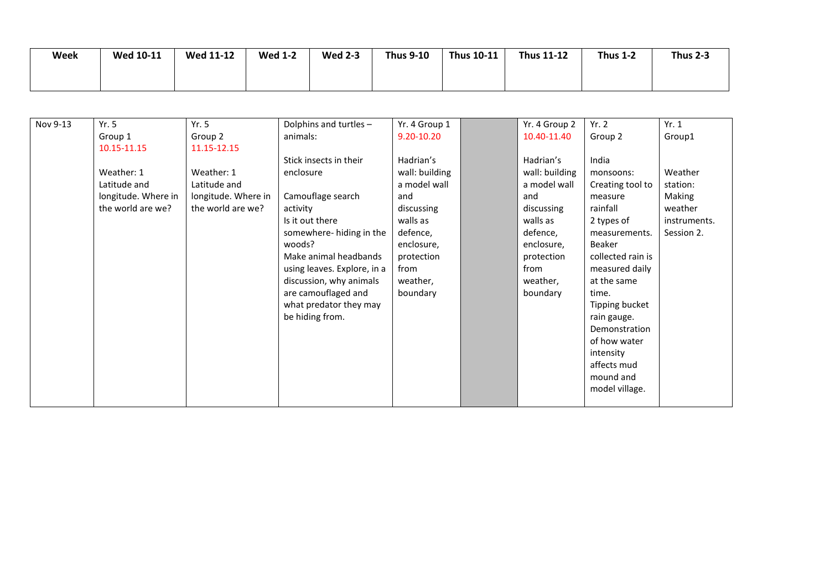| Week | <b>Wed 10-11</b> | <b>Wed 11-12</b> | <b>Wed 1-2</b> | <b>Wed 2-3</b> | <b>Thus 9-10</b> | Thus 10-11 | <b>Thus 11-12</b> | <b>Thus 1-2</b> | <b>Thus 2-3</b> |
|------|------------------|------------------|----------------|----------------|------------------|------------|-------------------|-----------------|-----------------|
|      |                  |                  |                |                |                  |            |                   |                 |                 |

| Nov 9-13 | Yr. 5               | Yr.5                | Dolphins and turtles -      | Yr. 4 Group 1  | Yr. 4 Group 2  | Yr. 2             | Yr. 1        |
|----------|---------------------|---------------------|-----------------------------|----------------|----------------|-------------------|--------------|
|          | Group 1             | Group 2             | animals:                    | $9.20 - 10.20$ | 10.40-11.40    | Group 2           | Group1       |
|          | 10.15-11.15         | 11.15-12.15         |                             |                |                |                   |              |
|          |                     |                     | Stick insects in their      | Hadrian's      | Hadrian's      | India             |              |
|          | Weather: 1          | Weather: 1          | enclosure                   | wall: building | wall: building | monsoons:         | Weather      |
|          | Latitude and        | Latitude and        |                             | a model wall   | a model wall   | Creating tool to  | station:     |
|          | longitude. Where in | longitude. Where in | Camouflage search           | and            | and            | measure           | Making       |
|          | the world are we?   | the world are we?   | activity                    | discussing     | discussing     | rainfall          | weather      |
|          |                     |                     | Is it out there             | walls as       | walls as       | 2 types of        | instruments. |
|          |                     |                     | somewhere- hiding in the    | defence,       | defence,       | measurements.     | Session 2.   |
|          |                     |                     | woods?                      | enclosure,     | enclosure,     | Beaker            |              |
|          |                     |                     | Make animal headbands       | protection     | protection     | collected rain is |              |
|          |                     |                     | using leaves. Explore, in a | from           | from           | measured daily    |              |
|          |                     |                     | discussion, why animals     | weather,       | weather,       | at the same       |              |
|          |                     |                     | are camouflaged and         | boundary       | boundary       | time.             |              |
|          |                     |                     | what predator they may      |                |                | Tipping bucket    |              |
|          |                     |                     | be hiding from.             |                |                | rain gauge.       |              |
|          |                     |                     |                             |                |                | Demonstration     |              |
|          |                     |                     |                             |                |                | of how water      |              |
|          |                     |                     |                             |                |                | intensity         |              |
|          |                     |                     |                             |                |                | affects mud       |              |
|          |                     |                     |                             |                |                | mound and         |              |
|          |                     |                     |                             |                |                | model village.    |              |
|          |                     |                     |                             |                |                |                   |              |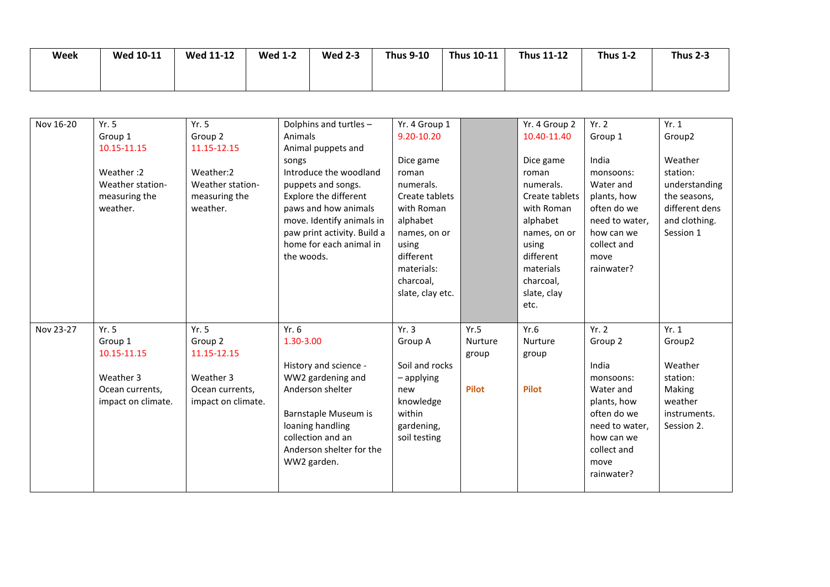| Week | <b>Wed 10-11</b> | <b>Wed 11-12</b> | <b>Wed 1-2</b> | <b>Wed 2-3</b> | <b>Thus 9-10</b> | Thus 10-11 | <b>Thus 11-12</b> | <b>Thus 1-2</b> | <b>Thus 2-3</b> |
|------|------------------|------------------|----------------|----------------|------------------|------------|-------------------|-----------------|-----------------|
|      |                  |                  |                |                |                  |            |                   |                 |                 |

| Nov 16-20 | Yr. 5              | Yr.5               | Dolphins and turtles -      | Yr. 4 Group 1    |              | Yr. 4 Group 2  | Yr.2           | Yr. 1              |
|-----------|--------------------|--------------------|-----------------------------|------------------|--------------|----------------|----------------|--------------------|
|           | Group 1            | Group 2            | Animals                     | 9.20-10.20       |              | 10.40-11.40    | Group 1        | Group <sub>2</sub> |
|           | 10.15-11.15        | 11.15-12.15        | Animal puppets and          |                  |              |                |                |                    |
|           |                    |                    | songs                       | Dice game        |              | Dice game      | India          | Weather            |
|           | Weather:2          | Weather:2          | Introduce the woodland      | roman            |              | roman          | monsoons:      | station:           |
|           | Weather station-   | Weather station-   | puppets and songs.          | numerals.        |              | numerals.      | Water and      | understanding      |
|           | measuring the      | measuring the      | Explore the different       | Create tablets   |              | Create tablets | plants, how    | the seasons,       |
|           | weather.           | weather.           | paws and how animals        | with Roman       |              | with Roman     | often do we    | different dens     |
|           |                    |                    | move. Identify animals in   | alphabet         |              | alphabet       | need to water, | and clothing.      |
|           |                    |                    | paw print activity. Build a | names, on or     |              | names, on or   | how can we     | Session 1          |
|           |                    |                    | home for each animal in     | using            |              | using          | collect and    |                    |
|           |                    |                    | the woods.                  | different        |              | different      | move           |                    |
|           |                    |                    |                             | materials:       |              | materials      | rainwater?     |                    |
|           |                    |                    |                             | charcoal,        |              | charcoal,      |                |                    |
|           |                    |                    |                             | slate, clay etc. |              | slate, clay    |                |                    |
|           |                    |                    |                             |                  |              | etc.           |                |                    |
|           |                    |                    |                             |                  |              |                |                |                    |
| Nov 23-27 | Yr. 5              | Yr. 5              | Yr.6                        | Yr.3             | Yr.5         | Yr.6           | Yr. 2          | Yr. 1              |
|           | Group 1            | Group 2            | 1.30-3.00                   | Group A          | Nurture      | <b>Nurture</b> | Group 2        | Group <sub>2</sub> |
|           | 10.15-11.15        | 11.15-12.15        |                             |                  | group        | group          |                |                    |
|           |                    |                    | History and science -       | Soil and rocks   |              |                | India          | Weather            |
|           | Weather 3          | Weather 3          | WW2 gardening and           | - applying       |              |                | monsoons:      | station:           |
|           | Ocean currents,    | Ocean currents,    | Anderson shelter            | new              | <b>Pilot</b> | <b>Pilot</b>   | Water and      | Making             |
|           | impact on climate. | impact on climate. |                             | knowledge        |              |                | plants, how    | weather            |
|           |                    |                    | Barnstaple Museum is        | within           |              |                | often do we    | instruments.       |
|           |                    |                    | loaning handling            | gardening,       |              |                | need to water, | Session 2.         |
|           |                    |                    | collection and an           | soil testing     |              |                | how can we     |                    |
|           |                    |                    | Anderson shelter for the    |                  |              |                | collect and    |                    |
|           |                    |                    | WW2 garden.                 |                  |              |                | move           |                    |
|           |                    |                    |                             |                  |              |                |                |                    |
|           |                    |                    |                             |                  |              |                | rainwater?     |                    |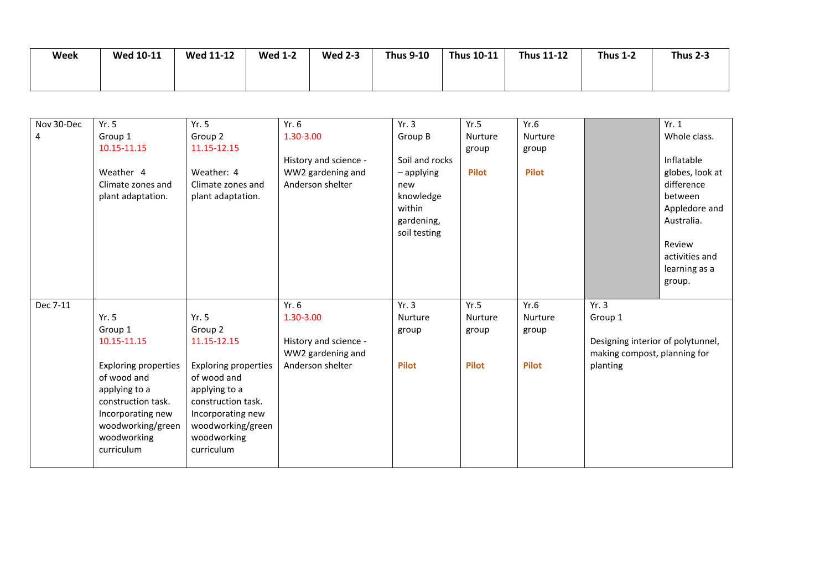| Week | <b>Wed 10-11</b> | <b>Wed 11-12</b> | <b>Wed 1-2</b> | <b>Wed 2-3</b> | <b>Thus 9-10</b> | Thus $10-11$ | <b>Thus 11-12</b> | <b>Thus 1-2</b> | <b>Thus 2-3</b> |
|------|------------------|------------------|----------------|----------------|------------------|--------------|-------------------|-----------------|-----------------|
|      |                  |                  |                |                |                  |              |                   |                 |                 |
|      |                  |                  |                |                |                  |              |                   |                 |                 |

| Nov 30-Dec | Yr. 5                       | Yr. 5                       | Yr.6                  | Yr.3           | Yr.5           | Yr.6           |                                   | Yr. 1           |
|------------|-----------------------------|-----------------------------|-----------------------|----------------|----------------|----------------|-----------------------------------|-----------------|
| 4          | Group 1                     | Group 2                     | 1.30-3.00             | Group B        | <b>Nurture</b> | <b>Nurture</b> |                                   | Whole class.    |
|            | 10.15-11.15                 | 11.15-12.15                 |                       |                | group          | group          |                                   |                 |
|            |                             |                             | History and science - | Soil and rocks |                |                |                                   | Inflatable      |
|            | Weather 4                   | Weather: 4                  | WW2 gardening and     | $-$ applying   | <b>Pilot</b>   | <b>Pilot</b>   |                                   | globes, look at |
|            | Climate zones and           | Climate zones and           | Anderson shelter      | new            |                |                |                                   | difference      |
|            | plant adaptation.           | plant adaptation.           |                       | knowledge      |                |                |                                   | between         |
|            |                             |                             |                       | within         |                |                |                                   | Appledore and   |
|            |                             |                             |                       | gardening,     |                |                |                                   | Australia.      |
|            |                             |                             |                       | soil testing   |                |                |                                   |                 |
|            |                             |                             |                       |                |                |                |                                   | Review          |
|            |                             |                             |                       |                |                |                |                                   | activities and  |
|            |                             |                             |                       |                |                |                |                                   | learning as a   |
|            |                             |                             |                       |                |                |                |                                   |                 |
|            |                             |                             |                       |                |                |                |                                   | group.          |
| Dec 7-11   |                             |                             | Yr.6                  | Yr.3           | Yr.5           | Yr.6           | Yr.3                              |                 |
|            | Yr. 5                       | Yr. 5                       |                       | Nurture        | Nurture        | Nurture        |                                   |                 |
|            |                             |                             | 1.30-3.00             |                |                |                | Group 1                           |                 |
|            | Group 1                     | Group 2                     |                       | group          | group          | group          |                                   |                 |
|            | 10.15-11.15                 | 11.15-12.15                 | History and science - |                |                |                | Designing interior of polytunnel, |                 |
|            |                             |                             | WW2 gardening and     |                |                |                | making compost, planning for      |                 |
|            | <b>Exploring properties</b> | <b>Exploring properties</b> | Anderson shelter      | <b>Pilot</b>   | <b>Pilot</b>   | <b>Pilot</b>   | planting                          |                 |
|            | of wood and                 | of wood and                 |                       |                |                |                |                                   |                 |
|            | applying to a               | applying to a               |                       |                |                |                |                                   |                 |
|            | construction task.          | construction task.          |                       |                |                |                |                                   |                 |
|            | Incorporating new           | Incorporating new           |                       |                |                |                |                                   |                 |
|            | woodworking/green           | woodworking/green           |                       |                |                |                |                                   |                 |
|            | woodworking                 | woodworking                 |                       |                |                |                |                                   |                 |
|            | curriculum                  | curriculum                  |                       |                |                |                |                                   |                 |
|            |                             |                             |                       |                |                |                |                                   |                 |